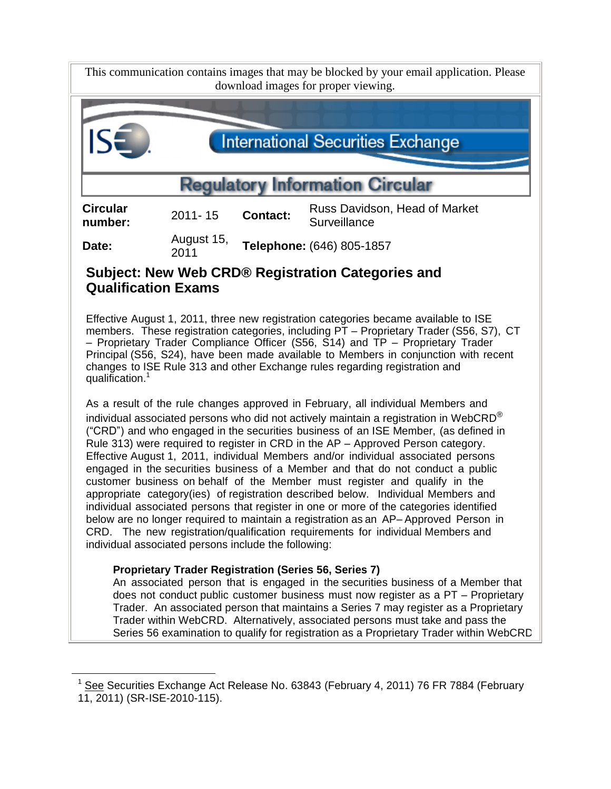This communication contains images that may be blocked by your email application. Please download images for proper viewing.



## **Subject: New Web CRD® Registration Categories and Qualification Exams**

Effective August 1, 2011, three new registration categories became available to ISE members. These registration categories, including PT – Proprietary Trader (S56, S7), CT – Proprietary Trader Compliance Officer (S56, S14) and TP – Proprietary Trader Principal (S56, S24), have been made available to Members in conjunction with recent changes to ISE Rule 313 and other Exchange rules regarding registration and qualification.<sup>1</sup>

As a result of the rule changes approved in February, all individual Members and individual associated persons who did not actively maintain a registration in WebCRD $^\circ$ ("CRD") and who engaged in the securities business of an ISE Member, (as defined in Rule 313) were required to register in CRD in the AP – Approved Person category. Effective August 1, 2011, individual Members and/or individual associated persons engaged in the securities business of a Member and that do not conduct a public customer business on behalf of the Member must register and qualify in the appropriate category(ies) of registration described below. Individual Members and individual associated persons that register in one or more of the categories identified below are no longer required to maintain a registration as an AP– Approved Person in CRD. The new registration/qualification requirements for individual Members and individual associated persons include the following:

## **Proprietary Trader Registration (Series 56, Series 7)**

l

An associated person that is engaged in the securities business of a Member that does not conduct public customer business must now register as a PT – Proprietary Trader. An associated person that maintains a Series 7 may register as a Proprietary Trader within WebCRD. Alternatively, associated persons must take and pass the Series 56 examination to qualify for registration as a Proprietary Trader within WebCRD.

<sup>1</sup> See Securities Exchange Act Release No. 63843 (February 4, 2011) 76 FR 7884 (February 11, 2011) (SR-ISE-2010-115).